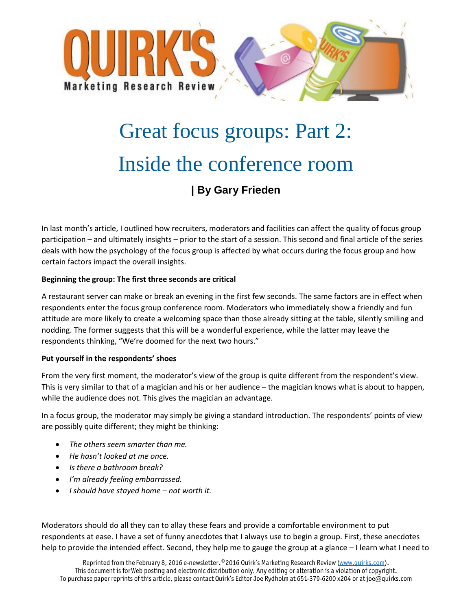

# Great focus groups: Part 2: Inside the conference room **| By Gary Frieden**

In last month's article, I outlined how recruiters, moderators and facilities can affect the quality of focus group participation – and ultimately insights – prior to the start of a session. This second and final article of the series deals with how the psychology of the focus group is affected by what occurs during the focus group and how certain factors impact the overall insights.

## **Beginning the group: The first three seconds are critical**

A restaurant server can make or break an evening in the first few seconds. The same factors are in effect when respondents enter the focus group conference room. Moderators who immediately show a friendly and fun attitude are more likely to create a welcoming space than those already sitting at the table, silently smiling and nodding. The former suggests that this will be a wonderful experience, while the latter may leave the respondents thinking, "We're doomed for the next two hours."

### **Put yourself in the respondents' shoes**

From the very first moment, the moderator's view of the group is quite different from the respondent's view. This is very similar to that of a magician and his or her audience – the magician knows what is about to happen, while the audience does not. This gives the magician an advantage.

In a focus group, the moderator may simply be giving a standard introduction. The respondents' points of view are possibly quite different; they might be thinking:

- *The others seem smarter than me.*
- *He hasn't looked at me once.*
- *Is there a bathroom break?*
- *I'm already feeling embarrassed.*
- *I should have stayed home – not worth it.*

Moderators should do all they can to allay these fears and provide a comfortable environment to put respondents at ease. I have a set of funny anecdotes that I always use to begin a group. First, these anecdotes help to provide the intended effect. Second, they help me to gauge the group at a glance – I learn what I need to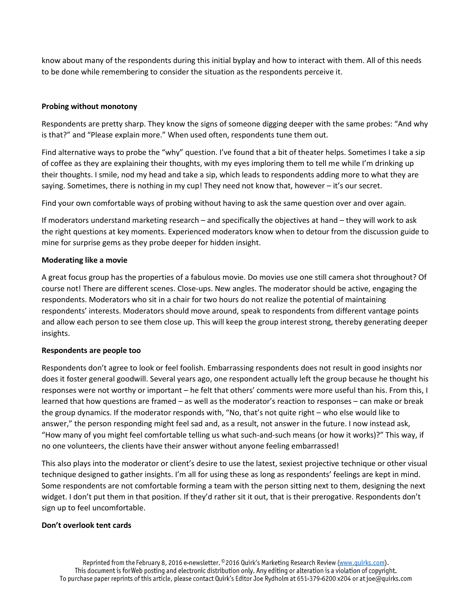know about many of the respondents during this initial byplay and how to interact with them. All of this needs to be done while remembering to consider the situation as the respondents perceive it.

## **Probing without monotony**

Respondents are pretty sharp. They know the signs of someone digging deeper with the same probes: "And why is that?" and "Please explain more." When used often, respondents tune them out.

Find alternative ways to probe the "why" question. I've found that a bit of theater helps. Sometimes I take a sip of coffee as they are explaining their thoughts, with my eyes imploring them to tell me while I'm drinking up their thoughts. I smile, nod my head and take a sip, which leads to respondents adding more to what they are saying. Sometimes, there is nothing in my cup! They need not know that, however – it's our secret.

Find your own comfortable ways of probing without having to ask the same question over and over again.

If moderators understand marketing research – and specifically the objectives at hand – they will work to ask the right questions at key moments. Experienced moderators know when to detour from the discussion guide to mine for surprise gems as they probe deeper for hidden insight.

### **Moderating like a movie**

A great focus group has the properties of a fabulous movie. Do movies use one still camera shot throughout? Of course not! There are different scenes. Close-ups. New angles. The moderator should be active, engaging the respondents. Moderators who sit in a chair for two hours do not realize the potential of maintaining respondents' interests. Moderators should move around, speak to respondents from different vantage points and allow each person to see them close up. This will keep the group interest strong, thereby generating deeper insights.

### **Respondents are people too**

Respondents don't agree to look or feel foolish. Embarrassing respondents does not result in good insights nor does it foster general goodwill. Several years ago, one respondent actually left the group because he thought his responses were not worthy or important – he felt that others' comments were more useful than his. From this, I learned that how questions are framed – as well as the moderator's reaction to responses – can make or break the group dynamics. If the moderator responds with, "No, that's not quite right – who else would like to answer," the person responding might feel sad and, as a result, not answer in the future. I now instead ask, "How many of you might feel comfortable telling us what such-and-such means (or how it works)?" This way, if no one volunteers, the clients have their answer without anyone feeling embarrassed!

This also plays into the moderator or client's desire to use the latest, sexiest projective technique or other visual technique designed to gather insights. I'm all for using these as long as respondents' feelings are kept in mind. Some respondents are not comfortable forming a team with the person sitting next to them, designing the next widget. I don't put them in that position. If they'd rather sit it out, that is their prerogative. Respondents don't sign up to feel uncomfortable.

## **Don't overlook tent cards**